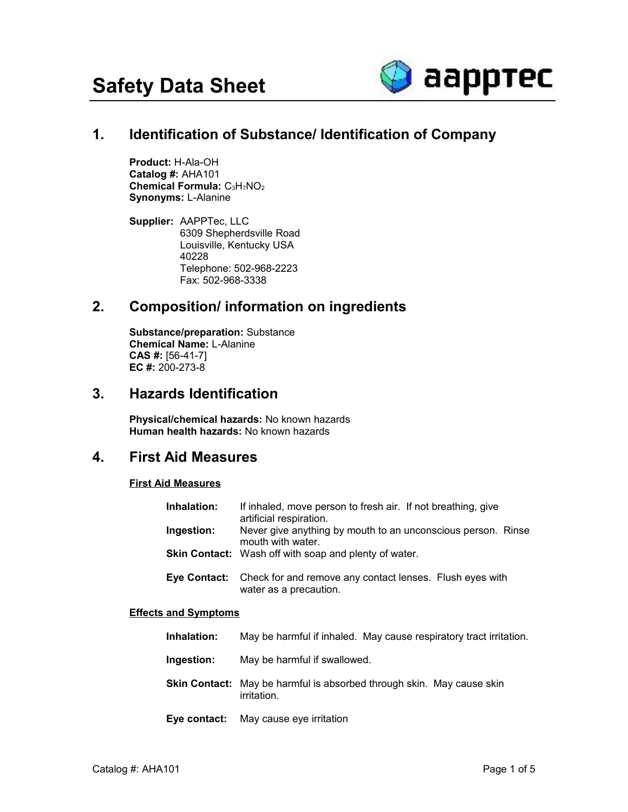

## **1. Identification of Substance/ Identification of Company**

**Product:** H-Ala-OH **Catalog #:** AHA101 **Chemical Formula:** C3H7NO<sup>2</sup> **Synonyms:** L-Alanine

**Supplier:** AAPPTec, LLC 6309 Shepherdsville Road Louisville, Kentucky USA 40228 Telephone: 502-968-2223 Fax: 502-968-3338

## **2. Composition/ information on ingredients**

**Substance/preparation:** Substance **Chemical Name:** L-Alanine **CAS #:** [56-41-7] **EC #:** 200-273-8

#### **3. Hazards Identification**

**Physical/chemical hazards:** No known hazards **Human health hazards:** No known hazards

## **4. First Aid Measures**

#### **First Aid Measures**

| Inhalation: | If inhaled, move person to fresh air. If not breathing, give<br>artificial respiration.         |
|-------------|-------------------------------------------------------------------------------------------------|
| Ingestion:  | Never give anything by mouth to an unconscious person. Rinse<br>mouth with water.               |
|             | <b>Skin Contact:</b> Wash off with soap and plenty of water.                                    |
|             | Eye Contact: Check for and remove any contact lenses. Flush eyes with<br>water as a precaution. |

#### **Effects and Symptoms**

- **Ingestion:** May be harmful if swallowed.
- **Skin Contact:** May be harmful is absorbed through skin. May cause skin irritation.
- **Eye contact:** May cause eye irritation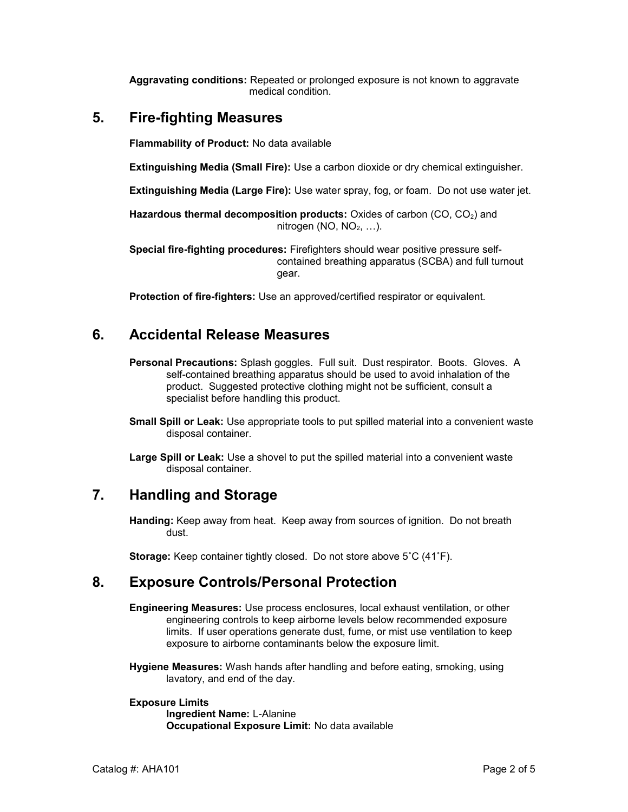**Aggravating conditions:** Repeated or prolonged exposure is not known to aggravate medical condition.

## **5. Fire-fighting Measures**

**Flammability of Product:** No data available

**Extinguishing Media (Small Fire):** Use a carbon dioxide or dry chemical extinguisher.

**Extinguishing Media (Large Fire):** Use water spray, fog, or foam. Do not use water jet.

Hazardous thermal decomposition products: Oxides of carbon (CO, CO<sub>2</sub>) and nitrogen (NO,  $NO<sub>2</sub>, ...$ ).

**Special fire-fighting procedures:** Firefighters should wear positive pressure selfcontained breathing apparatus (SCBA) and full turnout gear.

**Protection of fire-fighters:** Use an approved/certified respirator or equivalent.

## **6. Accidental Release Measures**

- **Personal Precautions:** Splash goggles. Full suit. Dust respirator. Boots. Gloves. A self-contained breathing apparatus should be used to avoid inhalation of the product. Suggested protective clothing might not be sufficient, consult a specialist before handling this product.
- **Small Spill or Leak:** Use appropriate tools to put spilled material into a convenient waste disposal container.

**Large Spill or Leak:** Use a shovel to put the spilled material into a convenient waste disposal container.

## **7. Handling and Storage**

**Handing:** Keep away from heat. Keep away from sources of ignition. Do not breath dust.

**Storage:** Keep container tightly closed. Do not store above 5˚C (41˚F).

## **8. Exposure Controls/Personal Protection**

**Engineering Measures:** Use process enclosures, local exhaust ventilation, or other engineering controls to keep airborne levels below recommended exposure limits. If user operations generate dust, fume, or mist use ventilation to keep exposure to airborne contaminants below the exposure limit.

**Hygiene Measures:** Wash hands after handling and before eating, smoking, using lavatory, and end of the day.

#### **Exposure Limits**

**Ingredient Name:** L-Alanine **Occupational Exposure Limit:** No data available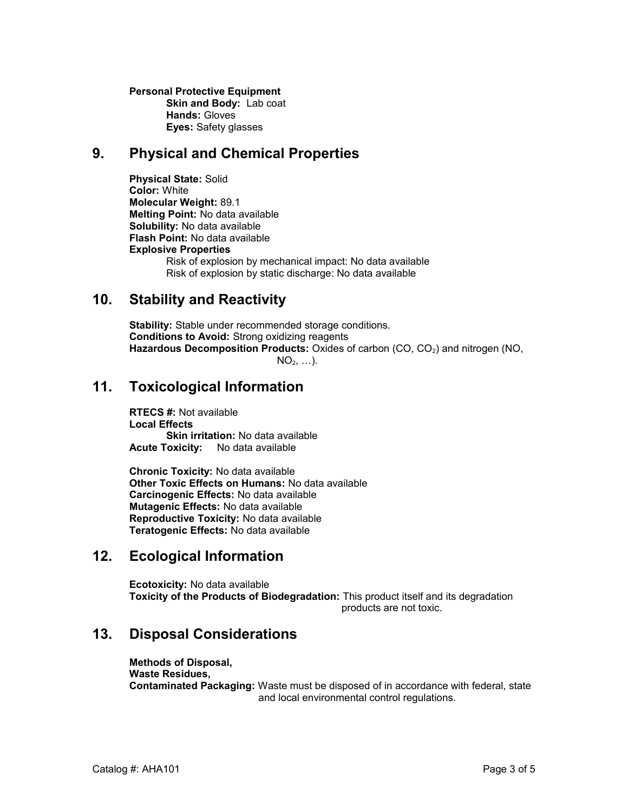**Personal Protective Equipment Skin and Body: Lab coat Hands:** Gloves **Eyes:** Safety glasses

## **9. Physical and Chemical Properties**

**Physical State:** Solid **Color:** White **Molecular Weight:** 89.1 **Melting Point:** No data available **Solubility:** No data available **Flash Point:** No data available **Explosive Properties** Risk of explosion by mechanical impact: No data available Risk of explosion by static discharge: No data available

## **10. Stability and Reactivity**

**Stability:** Stable under recommended storage conditions. **Conditions to Avoid:** Strong oxidizing reagents **Hazardous Decomposition Products:** Oxides of carbon (CO, CO<sub>2</sub>) and nitrogen (NO,  $NO<sub>2</sub>, ...$ ).

## **11. Toxicological Information**

**RTECS #:** Not available **Local Effects Skin irritation:** No data available **Acute Toxicity:** No data available

**Chronic Toxicity:** No data available **Other Toxic Effects on Humans:** No data available **Carcinogenic Effects:** No data available **Mutagenic Effects:** No data available **Reproductive Toxicity:** No data available **Teratogenic Effects:** No data available

# **12. Ecological Information**

**Ecotoxicity:** No data available **Toxicity of the Products of Biodegradation:** This product itself and its degradation products are not toxic.

# **13. Disposal Considerations**

**Methods of Disposal, Waste Residues, Contaminated Packaging:** Waste must be disposed of in accordance with federal, state and local environmental control regulations.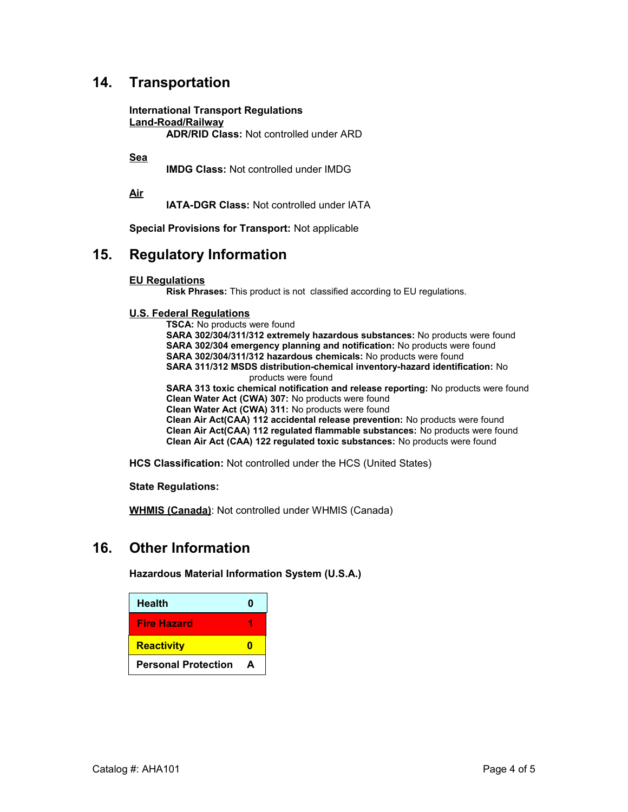## **14. Transportation**

**International Transport Regulations Land-Road/Railway ADR/RID Class:** Not controlled under ARD

**Sea**

**IMDG Class:** Not controlled under IMDG

**Air**

**IATA-DGR Class:** Not controlled under IATA

**Special Provisions for Transport:** Not applicable

#### **15. Regulatory Information**

#### **EU Regulations**

**Risk Phrases:** This product is not classified according to EU regulations.

#### **U.S. Federal Regulations**

**TSCA:** No products were found **SARA 302/304/311/312 extremely hazardous substances:** No products were found **SARA 302/304 emergency planning and notification:** No products were found **SARA 302/304/311/312 hazardous chemicals:** No products were found **SARA 311/312 MSDS distribution-chemical inventory-hazard identification:** No products were found **SARA 313 toxic chemical notification and release reporting:** No products were found **Clean Water Act (CWA) 307:** No products were found **Clean Water Act (CWA) 311:** No products were found **Clean Air Act(CAA) 112 accidental release prevention:** No products were found **Clean Air Act(CAA) 112 regulated flammable substances:** No products were found **Clean Air Act (CAA) 122 regulated toxic substances:** No products were found

**HCS Classification:** Not controlled under the HCS (United States)

**State Regulations:**

**WHMIS (Canada)**: Not controlled under WHMIS (Canada)

#### **16. Other Information**

**Hazardous Material Information System (U.S.A.)**

| <b>Health</b>              | Λ |
|----------------------------|---|
| <b>Fire Hazard</b>         |   |
| <b>Reactivity</b>          | m |
| <b>Personal Protection</b> | А |